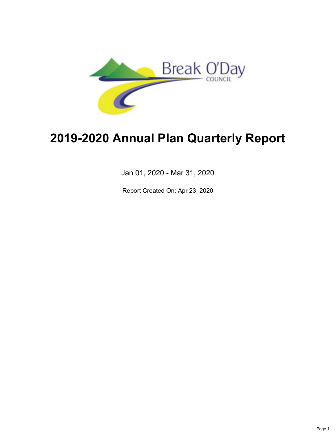

# **2019-2020 Annual Plan Quarterly Report**

Jan 01, 2020 - Mar 31, 2020

Report Created On: Apr 23, 2020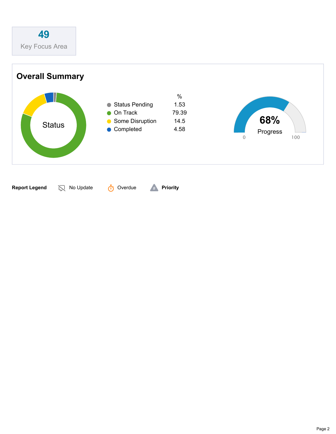

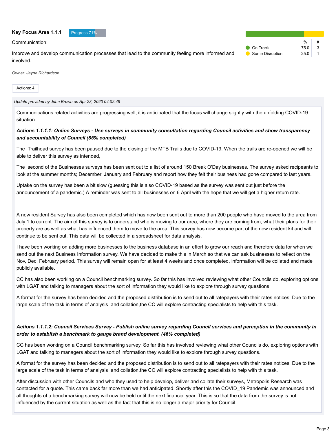#### **Key Focus Area 1.1.1** Progress 71%

Communication:

Improve and develop communication processes that lead to the community feeling more informed and involved.

|                   | $\%$ |   |
|-------------------|------|---|
| <b>O</b> On Track | 75.0 | 3 |
| Some Disruption   | 25 O |   |

*Owner: Jayne Richardson*

Actions: 4

*Update provided by John Brown on Apr 23, 2020 04:02:49*

Communications related activities are progressing well, it is anticipated that the focus will change slightly with the unfolding COVID-19 situation.

# *Actions 1.1.1.1: Online Surveys - Use surveys in community consultation regarding Council activities and show transparency and accountability of Council (85% completed)*

The Trailhead survey has been paused due to the closing of the MTB Trails due to COVID-19. When the trails are re-opened we will be able to deliver this survey as intended,

The second of the Businesses surveys has been sent out to a list of around 150 Break O'Day businesses. The survey asked recipeants to look at the summer months; December, January and February and report how they felt their business had gone compared to last years.

Uptake on the survey has been a bit slow (guessing this is also COVID-19 based as the survey was sent out just before the announcement of a pandemic.) A reminder was sent to all businesses on 6 April with the hope that we will get a higher return rate.

A new resident Survey has also been completed which has now been sent out to more than 200 people who have moved to the area from July 1 to current. The aim of this survey is to understand who is moving to our area, where they are coming from, what their plans for their property are as well as what has influenced them to move to the area. This survey has now become part of the new resident kit and will continue to be sent out. This data will be collected in a spreadsheet for data analysis.

I have been working on adding more businesses to the business database in an effort to grow our reach and therefore data for when we send out the next Business Information survey. We have decided to make this in March so that we can ask businesses to reflect on the Nov, Dec, February period. This survey will remain open for at least 4 weeks and once completed, information will be collated and made publicly available.

CC has also been working on a Council benchmarking survey. So far this has involved reviewing what other Councils do, exploring options with LGAT and talking to managers about the sort of information they would like to explore through survey questions.

A format for the survey has been decided and the proposed distribution is to send out to all ratepayers with their rates notices. Due to the large scale of the task in terms of analysis and collation,the CC will explore contracting specialists to help with this task.

# *Actions 1.1.1.2: Council Services Survey - Publish online survey regarding Council services and perception in the community in order to establish a benchmark to gauge brand development. (46% completed)*

CC has been working on a Council benchmarking survey. So far this has involved reviewing what other Councils do, exploring options with LGAT and talking to managers about the sort of information they would like to explore through survey questions.

A format for the survey has been decided and the proposed distribution is to send out to all ratepayers with their rates notices. Due to the large scale of the task in terms of analysis and collation,the CC will explore contracting specialists to help with this task.

After discussion with other Councils and who they used to help develop, deliver and collate their surveys, Metropolis Research was contacted for a quote. This came back far more than we had anticipated. Shortly after this the COVID\_19 Pandemic was announced and all thoughts of a benchmarking survey will now be held until the next financial year. This is so that the data from the survey is not influenced by the current situation as well as the fact that this is no longer a major priority for Council.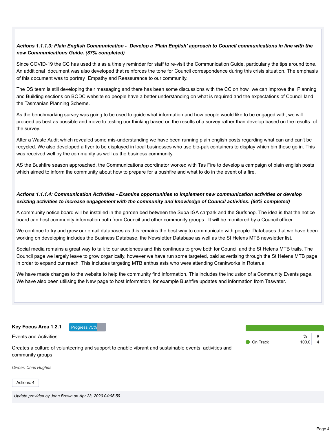# *Actions 1.1.1.3: Plain English Communication - Develop a 'Plain English' approach to Council communications in line with the new Communications Guide. (87% completed)*

Since COVID-19 the CC has used this as a timely reminder for staff to re-visit the Communication Guide, particularly the tips around tone. An additional document was also developed that reinforces the tone for Council correspondence during this crisis situation. The emphasis of this document was to portray Empathy and Reassurance to our community.

The DS team is still developing their messaging and there has been some discussions with the CC on how we can improve the Planning and Building sections on BODC website so people have a better understanding on what is required and the expectations of Council land the Tasmanian Planning Scheme.

As the benchmarking survey was going to be used to guide what information and how people would like to be engaged with, we will proceed as best as possible and move to testing our thinking based on the results of a survey rather than develop based on the results of the survey.

After a Waste Audit which revealed some mis-understanding we have been running plain english posts regarding what can and can't be recycled. We also developed a flyer to be displayed in local businesses who use bio-pak containers to display which bin these go in. This was received well by the community as well as the business community.

AS the Bushfire season approached, the Communications coordinator worked with Tas Fire to develop a campaign of plain english posts which aimed to inform the community about how to prepare for a bushfire and what to do in the event of a fire.

#### *Actions 1.1.1.4: Communication Activities - Examine opportunities to implement new communication activities or develop existing activities to increase engagement with the community and knowledge of Council activities. (66% completed)*

A community notice board will be installed in the garden bed between the Supa IGA carpark and the Surfshop. The idea is that the notice board can host community information both from Council and other community groups. It will be monitored by a Council officer.

We continue to try and grow our email databases as this remains the best way to communicate with people. Databases that we have been working on developing includes the Business Database, the Newsletter Database as well as the St Helens MTB newsletter list.

Social media remains a great way to talk to our audiences and this continues to grow both for Council and the St Helens MTB trails. The Council page we largely leave to grow organically, however we have run some targeted, paid advertising through the St Helens MTB page in order to expand our reach. This includes targeting MTB enthusiasts who were attending Crankworks in Rotarua.

We have made changes to the website to help the community find information. This includes the inclusion of a Community Events page. We have also been utilising the New page to host information, for example Bushfire updates and information from Taswater.

Key Focus Area 1.2.1 **Progress 75%** 

Events and Activities:

 $\frac{0}{c}$ **On Track 100.0 4** 

Creates a culture of volunteering and support to enable vibrant and sustainable events, activities and community groups

*Owner: Chris Hughes*

Actions: 4

*Update provided by John Brown on Apr 23, 2020 04:05:59*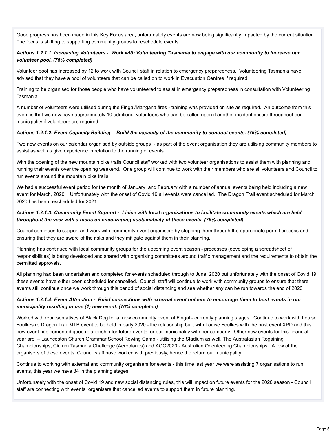Good progress has been made in this Key Focus area, unfortunately events are now being significantly impacted by the current situation. The focus is shifting to supporting community groups to reschedule events.

# *Actions 1.2.1.1: Increasing Volunteers - Work with Volunteering Tasmania to engage with our community to increase our volunteer pool. (75% completed)*

Volunteer pool has increased by 12 to work with Council staff in relation to emergency preparedness. Volunteering Tasmania have advised that they have a pool of volunteers that can be called on to work in Evacuation Centres if required

Training to be organised for those people who have volunteered to assist in emergency preparedness in consultation with Volunteering Tasmania

A number of volunteers were utilised during the Fingal/Mangana fires - training was provided on site as required. An outcome from this event is that we now have approximately 10 additional volunteers who can be called upon if another incident occurs throughout our municipality if volunteers are required.

#### *Actions 1.2.1.2: Event Capacity Building - Build the capacity of the community to conduct events. (75% completed)*

Two new events on our calendar organised by outside groups - as part of the event organisation they are utilising community members to assist as well as give experience in relation to the running of events.

With the opening of the new mountain bike trails Council staff worked with two volunteer organisations to assist them with planning and running their events over the opening weekend. One group will continue to work with their members who are all volunteers and Council to run events around the mountain bike trails.

We had a successful event period for the month of January and February with a number of annual events being held including a new event for March, 2020. Unfortunately with the onset of Covid 19 all events were cancelled. The Dragon Trail event scheduled for March, 2020 has been rescheduled for 2021.

# *Actions 1.2.1.3: Community Event Support - Liaise with local organisations to facilitate community events which are held throughout the year with a focus on encouraging sustainability of these events. (75% completed)*

Council continues to support and work with community event organisers by stepping them through the appropriate permit process and ensuring that they are aware of the risks and they mitigate against them in their planning.

Planning has continued with local community groups for the upcoming event season - processes (developing a spreadsheet of responsibilities) is being developed and shared with organising committees around traffic management and the requirements to obtain the permitted approvals.

All planning had been undertaken and completed for events scheduled through to June, 2020 but unfortunately with the onset of Covid 19, these events have either been scheduled for cancelled. Council staff will continue to work with community groups to ensure that there events still continue once we work through this period of social distancing and see whether any can be run towards the end of 2020

# *Actions 1.2.1.4: Event Attraction - Build connections with external event holders to encourage them to host events in our municipality resulting in one (1) new event. (76% completed)*

Worked with representatives of Black Dog for a new community event at Fingal - currently planning stages. Continue to work with Louise Foulkes re Dragon Trail MTB event to be held in early 2020 - the relationship built with Louise Foulkes with the past event XPD and this new event has cemented good relationship for future events for our municipality with her company. Other new events for this financial year are – Launceston Church Grammar School Rowing Camp - utilising the Stadium as well, The Australasian Rogaining Championships, Cicrum Tasmania Challenge (Aeroplanes) and AOC2020 - Australian Orienteering Championships. A few of the organisers of these events, Council staff have worked with previously, hence the return our municipality.

Continue to working with external and community organisers for events - this time last year we were assisting 7 organisations to run events, this year we have 34 in the planning stages

Unfortunately with the onset of Covid 19 and new social distancing rules, this will impact on future events for the 2020 season - Council staff are connecting with events organisers that cancelled events to support them in future planning.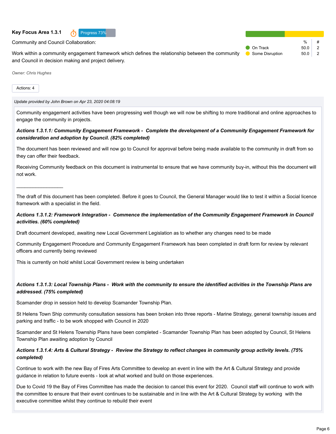#### **Key Focus Area 1.3.1 n** Progress 73%



Community and Council Collaboration:

Work within a community engagement framework which defines the relationship between the community and Council in decision making and project delivery.

| $\frac{0}{0}$ | #              |
|---------------|----------------|
|               | 2              |
|               | $\overline{2}$ |
|               | 50.0<br>50.0   |

*Owner: Chris Hughes*

 $\mathcal{L}_\text{max}$  , where  $\mathcal{L}_\text{max}$ 

Actions: 4

*Update provided by John Brown on Apr 23, 2020 04:08:19*

Community engagement activities have been progressing well though we will now be shifting to more traditional and online approaches to engage the community in projects.

# *Actions 1.3.1.1: Community Engagement Framework - Complete the development of a Community Engagement Framework for consideration and adoption by Council. (82% completed)*

The document has been reviewed and will now go to Council for approval before being made available to the community in draft from so they can offer their feedback.

Receiving Community feedback on this document is instrumental to ensure that we have community buy-in, without this the document will not work.

The draft of this document has been completed. Before it goes to Council, the General Manager would like to test it within a Social licence framework with a specialist in the field.

#### *Actions 1.3.1.2: Framework Integration - Commence the implementation of the Community Engagement Framework in Council activities. (60% completed)*

Draft document developed, awaiting new Local Government Legislation as to whether any changes need to be made

Community Engagement Procedure and Community Engagement Framework has been completed in draft form for review by relevant officers and currently being reviewed

This is currently on hold whilst Local Government review is being undertaken

# *Actions 1.3.1.3: Local Township Plans - Work with the community to ensure the identified activities in the Township Plans are addressed. (75% completed)*

Scamander drop in session held to develop Scamander Township Plan.

St Helens Town Ship community consultation sessions has been broken into three reports - Marine Strategy, general township issues and parking and traffic - to be work shopped with Council in 2020

Scamander and St Helens Township Plans have been completed - Scamander Township Plan has been adopted by Council, St Helens Township Plan awaiting adoption by Council

#### *Actions 1.3.1.4: Arts & Cultural Strategy - Review the Strategy to reflect changes in community group activity levels. (75% completed)*

Continue to work with the new Bay of Fires Arts Committee to develop an event in line with the Art & Cultural Strategy and provide guidance in relation to future events - look at what worked and build on those experiences.

Due to Covid 19 the Bay of Fires Committee has made the decision to cancel this event for 2020. Council staff will continue to work with the committee to ensure that their event continues to be sustainable and in line with the Art & Cultural Strategy by working with the executive committee whilst they continue to rebuild their event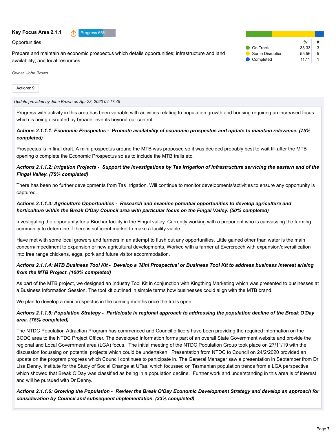#### **Key Focus Area 2.1.1 Progress 66%**



Opportunities:

Prepare and maintain an economic prospectus which details opportunities; infrastructure and land availability; and local resources.

|                   | %     | # |
|-------------------|-------|---|
| <b>O</b> On Track | 33.33 | 3 |
| Some Disruption   | 55.56 | 5 |
| Completed         | 11.11 |   |

*Owner: John Brown*

Actions: 9

*Update provided by John Brown on Apr 23, 2020 04:17:45*

Progress with activity in this area has been variable with activities relating to population growth and housing requiring an increased focus which is being disrupted by broader events beyond our control.

#### *Actions 2.1.1.1: Economic Prospectus - Promote availability of economic prospectus and update to maintain relevance. (75% completed)*

Prospectus is in final draft. A mini prospectus around the MTB was proposed so it was decided probably best to wait till after the MTB opening o complete the Economic Prospectus so as to include the MTB trails etc.

# *Actions 2.1.1.2: Irrigation Projects - Support the investigations by Tas Irrigation of infrastructure servicing the eastern end of the Fingal Valley. (75% completed)*

There has been no further developments from Tas Irrigation. Will continue to monitor developments/activities to ensure any opportunity is captured.

# *Actions 2.1.1.3: Agriculture Opportunities - Research and examine potential opportunities to develop agriculture and horticulture within the Break O'Day Council area with particular focus on the Fingal Valley. (50% completed)*

Investigating the opportunity for a Biochar facility in the Fingal valley. Currently working with a proponent who is canvassing the farming community to determine if there is sufficient market to make a facility viable.

Have met with some local growers and farmers in an attempt to flush out any opportunities. Little gained other than water is the main concern/impediment to expansion or new agricultural developments. Worked with a farmer at Evercreech with expansion/diversification into free range chickens, eggs, pork and future visitor accommodation.

# *Actions 2.1.1.4: MTB Business Tool Kit - Develop a 'Mini Prospectus' or Business Tool Kit to address business interest arising from the MTB Project. (100% completed)*

As part of the MTB project, we designed an Industry Tool Kit in conjunction with Kingthing Marketing which was presented to businesses at a Business Information Session. The tool kit outlined in simple terms how businesses could align with the MTB brand.

We plan to develop a mini prospectus in the coming months once the trails open.

# *Actions 2.1.1.5: Population Strategy - Participate in regional approach to addressing the population decline of the Break O'Day area. (75% completed)*

The NTDC Population Attraction Program has commenced and Council officers have been providing the required information on the BODC area to the NTDC Project Officer. The developed information forms part of an overall State Government website and provide the regional and Local Government area (LGA) focus. The initial meeting of the NTDC Population Group took place on 27/11/19 with the discussion focussing on potential projects which could be undertaken. Presentation from NTDC to Council on 24/2/2020 provided an update on the program progress which Council continues to participate in. The General Manager saw a presentation in September from Dr Lisa Denny, Institute for the Study of Social Change at UTas, which focussed on Tasmanian population trends from a LGA perspective which showed that Break O'Day was classified as being in a population decline. Further work and understanding in this area is of interest and will be pursued with Dr Denny.

*Actions 2.1.1.6: Growing the Population - Review the Break O'Day Economic Development Strategy and develop an approach for consideration by Council and subsequent implementation. (33% completed)*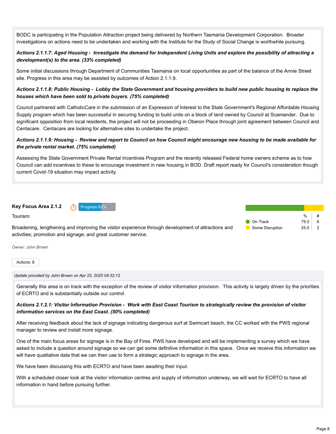BODC is participating in the Population Attraction project being delivered by Northern Tasmania Development Corporation. Broader investigations on actions need to be undertaken and working with the Institute for the Study of Social Change is worthwhile pursuing.

# *Actions 2.1.1.7: Aged Housing - Investigate the demand for Independent Living Units and explore the possibility of attracting a development(s) to the area. (33% completed)*

Some initial discussions through Department of Communities Tasmania on local opportunities as part of the balance of the Annie Street site. Progress in this area may be assisted by outcomes of Action 2.1.1.9.

# *Actions 2.1.1.8: Public Housing - Lobby the State Government and housing providers to build new public housing to replace the houses which have been sold to private buyers. (75% completed)*

Council partnered with CatholicCare in the submission of an Expression of Interest to the State Government's Regional Affordable Housing Supply program which has been successful in securing funding to build units on a block of land owned by Council at Scamander. Due to significant opposition from local residents, the project will not be proceeding in Oberon Place through joint agreement between Council and Centacare. Centacare are looking for alternative sites to undertake the project.

# *Actions 2.1.1.9: Housing - Review and report to Council on how Council might encourage new housing to be made available for the private rental market. (75% completed)*

Assessing the State Government Private Rental Incentives Program and the recently released Federal home owners scheme as to how Council can add incentives to these to encourage investment in new housing in BOD. Draft report ready for Council's consideration though current Covid-19 situation may impact activity.

# **Key Focus Area 2.1.2 n** Progress 62%

Tourism:

Broadening, lengthening and improving the visitor experience through development of attractions and activities; promotion and signage; and great customer service.

*Owner: John Brown*

Actions: 8

#### *Update provided by John Brown on Apr 23, 2020 04:32:12*

Generally this area is on track with the exception of the review of visitor information provision. This activity is largely driven by the priorities of ECRTO and is substantially outside our control.

# *Actions 2.1.2.1: Visitor Information Provision - Work with East Coast Tourism to strategically review the provision of visitor information services on the East Coast. (50% completed)*

After receiving feedback about the lack of signage indicating dangerous surf at Swimcart beach, the CC worked with the PWS regional manager to review and install more signage.

One of the main focus areas for signage is in the Bay of Fires. PWS have developed and will be implementing a survey which we have asked to include a question around signage so we can get some definitive information in this space. Once we receive this information we will have qualitative data that we can then use to form a strategic approach to signage in the area.

We have been discussing this with ECRTO and have been awaiting their input.

With a scheduled closer look at the visitor information centres and supply of information underway, we will wait for ECRTO to have all information in hand before pursuing further.

% #

On Track 75.0 6 **Some Disruption** 25.0 2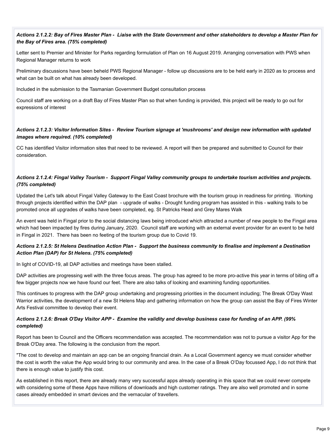# *Actions 2.1.2.2: Bay of Fires Master Plan - Liaise with the State Government and other stakeholders to develop a Master Plan for the Bay of Fires area. (75% completed)*

Letter sent to Premier and Minister for Parks regarding formulation of Plan on 16 August 2019. Arranging conversation with PWS when Regional Manager returns to work

Preliminary discussions have been beheld PWS Regional Manager - follow up discussions are to be held early in 2020 as to process and what can be built on what has already been developed.

Included in the submission to the Tasmanian Government Budget consultation process

Council staff are working on a draft Bay of Fires Master Plan so that when funding is provided, this project will be ready to go out for expressions of interest

# *Actions 2.1.2.3: Visitor Information Sites - Review Tourism signage at 'mushrooms' and design new information with updated images where required. (10% completed)*

CC has identified Visitor information sites that need to be reviewed. A report will then be prepared and submitted to Council for their consideration.

# *Actions 2.1.2.4: Fingal Valley Tourism - Support Fingal Valley community groups to undertake tourism activities and projects. (75% completed)*

Updated the Let's talk about Fingal Valley Gateway to the East Coast brochure with the tourism group in readiness for printing. Working through projects identified within the DAP plan - upgrade of walks - Drought funding program has assisted in this - walking trails to be promoted once all upgrades of walks have been completed, eg. St Patricks Head and Grey Mares Walk

An event was held in Fingal prior to the social distancing laws being introduced which attracted a number of new people to the Fingal area which had been impacted by fires during January, 2020. Council staff are working with an external event provider for an event to be held in Fingal in 2021. There has been no feeting of the tourism group due to Covid 19.

# *Actions 2.1.2.5: St Helens Destination Action Plan - Support the business community to finalise and implement a Destination Action Plan (DAP) for St Helens. (75% completed)*

In light of COVID-19, all DAP activities and meetings have been stalled.

DAP activities are progressing well with the three focus areas. The group has agreed to be more pro-active this year in terms of biting off a few bigger projects now we have found our feet. There are also talks of looking and examining funding opportunities.

This continues to progress with the DAP group undertaking and progressing priorities in the document including; The Break O'Day Wast Warrior activities, the development of a new St Helens Map and gathering information on how the group can assist the Bay of Fires Winter Arts Festival committee to develop their event.

# *Actions 2.1.2.6: Break O'Day Visitor APP - Examine the validity and develop business case for funding of an APP. (99% completed)*

Report has been to Council and the Officers recommendation was accepted. The recommendation was not to pursue a visitor App for the Break O'Day area. The following is the conclusion from the report.

"The cost to develop and maintain an app can be an ongoing financial drain. As a Local Government agency we must consider whether the cost is worth the value the App would bring to our community and area. In the case of a Break O'Day focussed App, I do not think that there is enough value to justify this cost.

As established in this report, there are already many very successful apps already operating in this space that we could never compete with considering some of these Apps have millions of downloads and high customer ratings. They are also well promoted and in some cases already embedded in smart devices and the vernacular of travellers.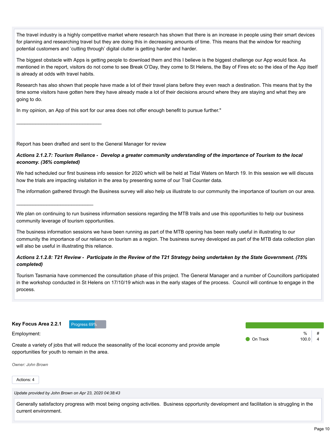The travel industry is a highly competitive market where research has shown that there is an increase in people using their smart devices for planning and researching travel but they are doing this in decreasing amounts of time. This means that the window for reaching potential customers and 'cutting through' digital clutter is getting harder and harder.

The biggest obstacle with Apps is getting people to download them and this I believe is the biggest challenge our App would face. As mentioned in the report, visitors do not come to see Break O'Day, they come to St Helens, the Bay of Fires etc so the idea of the App itself is already at odds with travel habits.

Research has also shown that people have made a lot of their travel plans before they even reach a destination. This means that by the time some visitors have gotten here they have already made a lot of their decisions around where they are staying and what they are going to do.

In my opinion, an App of this sort for our area does not offer enough benefit to pursue further."

Report has been drafted and sent to the General Manager for review

 $\mathcal{L}_\text{max}$  , where  $\mathcal{L}_\text{max}$  is the set of the set of the set of the set of the set of the set of the set of the set of the set of the set of the set of the set of the set of the set of the set of the set of the se

 $\mathcal{L}_\text{max}$  , where  $\mathcal{L}_\text{max}$  and  $\mathcal{L}_\text{max}$ 

#### *Actions 2.1.2.7: Tourism Reliance - Develop a greater community understanding of the importance of Tourism to the local economy. (36% completed)*

We had scheduled our first business info session for 2020 which will be held at Tidal Waters on March 19. In this session we will discuss how the trials are impacting visitation in the area by presenting some of our Trail Counter data.

The information gathered through the Business survey will also help us illustrate to our community the importance of tourism on our area.

We plan on continuing to run business information sessions regarding the MTB trails and use this opportunities to help our business community leverage of tourism opportunities.

The business information sessions we have been running as part of the MTB opening has been really useful in illustrating to our community the importance of our reliance on tourism as a region. The business survey developed as part of the MTB data collection plan will also be useful in illustrating this reliance.

# *Actions 2.1.2.8: T21 Review - Participate in the Review of the T21 Strategy being undertaken by the State Government. (75% completed)*

Tourism Tasmania have commenced the consultation phase of this project. The General Manager and a number of Councillors participated in the workshop conducted in St Helens on 17/10/19 which was in the early stages of the process. Council will continue to engage in the process.

**Key Focus Area 2.2.1** Progress 69%

Employment:

 $\frac{0}{6}$ **O** On Track 100.0 4

Create a variety of jobs that will reduce the seasonality of the local economy and provide ample opportunities for youth to remain in the area.

*Owner: John Brown*

Actions: 4

*Update provided by John Brown on Apr 23, 2020 04:38:43*

Generally satisfactory progress with most being ongoing activities. Business opportunity development and facilitation is struggling in the current environment.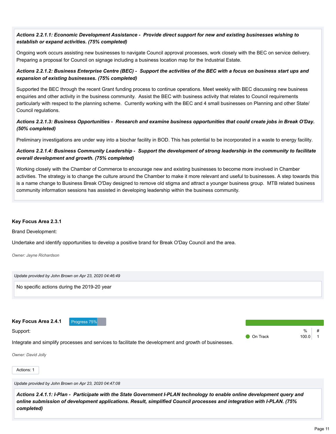# *Actions 2.2.1.1: Economic Development Assistance - Provide direct support for new and existing businesses wishing to establish or expand activities. (75% completed)*

Ongoing work occurs assisting new businesses to navigate Council approval processes, work closely with the BEC on service delivery. Preparing a proposal for Council on signage including a business location map for the Industrial Estate.

# *Actions 2.2.1.2: Business Enterprise Centre (BEC) - Support the activities of the BEC with a focus on business start ups and expansion of existing businesses. (75% completed)*

Supported the BEC through the recent Grant funding process to continue operations. Meet weekly with BEC discussing new business enquiries and other activity in the business community. Assist the BEC with business activity that relates to Council requirements particularly with respect to the planning scheme. Currently working with the BEC and 4 small businesses on Planning and other State/ Council regulations.

# *Actions 2.2.1.3: Business Opportunities - Research and examine business opportunities that could create jobs in Break O'Day. (50% completed)*

Preliminary investigations are under way into a biochar facility in BOD. This has potential to be incorporated in a waste to energy facility.

# *Actions 2.2.1.4: Business Community Leadership - Support the development of strong leadership in the community to facilitate overall development and growth. (75% completed)*

Working closely with the Chamber of Commerce to encourage new and existing businesses to become more involved in Chamber activities. The strategy is to change the culture around the Chamber to make it more relevant and useful to businesses. A step towards this is a name change to Business Break O'Day designed to remove old stigma and attract a younger business group. MTB related business community information sessions has assisted in developing leadership within the business community.

#### **Key Focus Area 2.3.1**

Brand Development:

Undertake and identify opportunities to develop a positive brand for Break O'Day Council and the area.

*Owner: Jayne Richardson*

*Update provided by John Brown on Apr 23, 2020 04:46:49* No specific actions during the 2019-20 year

Key Focus Area 2.4.1 Progress 75%

Support:

Integrate and simplify processes and services to facilitate the development and growth of businesses.

*Owner: David Jolly*

Actions: 1

*Update provided by John Brown on Apr 23, 2020 04:47:08*

*Actions 2.4.1.1: I-Plan - Participate with the State Government I-PLAN technology to enable online development query and online submission of development applications. Result, simplified Council processes and integration with I-PLAN. (75% completed)*

 $0/2$ 

**On Track 100.0 1**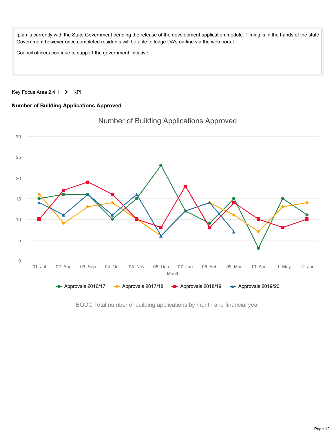Iplan is currently with the State Government pending the release of the development application module. Timing is in the hands of the state Government however once completed residents will be able to lodge DA's on-line via the web portal.

Council officers continue to support the government initiative.

Key Focus Area 2.4.1  $\triangleright$  KPI

# **Number of Building Applications Approved**



Number of Building Applications Approved

BODC Total number of building applications by month and financial year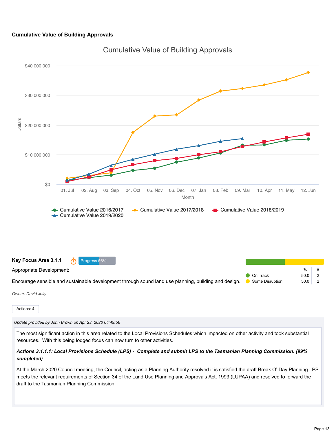#### **Cumulative Value of Building Approvals**



Cumulative Value of Building Approvals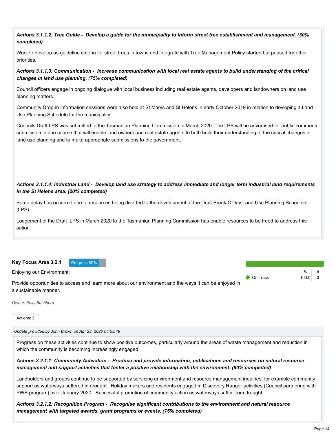|            | Actions 3.1.1.2: Tree Guide - Develop a guide for the municipality to inform street tree establishment and management. (30% |  |
|------------|-----------------------------------------------------------------------------------------------------------------------------|--|
| completed) |                                                                                                                             |  |

Work to develop as guideline criteria for street trees in towns and integrate with Tree Management Policy started but paused for other priorities.

*Actions 3.1.1.3: Communication - Increase communication with local real estate agents to build understanding of the critical changes in land use planning. (75% completed)*

Council officers engage in ongoing dialogue with local business including real estate agents, developers and landowners on land use planning matters.

Community Drop-in information sessions were also held at St Marys and St Helens in early October 2019 in relation to devloping a Land Use Planning Schedule for the municipality.

Councils Draft LPS was submitted to the Tasmanian Planning Commission in March 2020. The LPS will be advertised for public comment/ submission in due course that will enable land owners and real estate agents to both build their understanding of the critical changes in land use planning and to make appropriate submissions to the government.

# *Actions 3.1.1.4: Industrial Land - Develop land use strategy to address immediate and longer term industrial land requirements in the St Helens area. (20% completed)*

Some delay has occurred due to resources being diverted to the development of the Draft Break O'Day Land Use Planning Schedule (LPS).

Lodgement of the Draft LPS in March 2020 to the Tasmanian Planning Commission has enable resources to be freed to address this action.



Enjoying our Environment:

Provide opportunities to access and learn more about our environment and the ways it can be enjoyed in a sustainable manner.

 $\frac{1}{2}$ **O** On Track 100.0 3

*Owner: Polly Buchhorn*

Actions: 3

*Update provided by John Brown on Apr 23, 2020 04:53:49*

Progress on these activities continue to show positive outcomes, particularly around the areas of waste management and reduction in which the community is becoming increasingly engaged.

#### *Actions 3.2.1.1: Community Activation - Produce and provide information, publications and resources on natural resource management and support activities that foster a positive relationship with the environment. (90% completed)*

Landholders and groups continue to be supported by servicing environment and resource management inquiries, for example community support as waterways suffered in drought. Holiday makers and residents engaged in Discovery Ranger activities (Council partnering with PWS program) over January 2020. Successful promotion of community action as waterways suffer from drought.

*Actions 3.2.1.2: Recognition Program - Recognise significant contributions to the environment and natural resource management with targeted awards, grant programs or events. (75% completed)*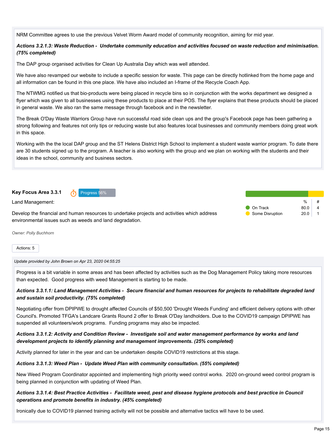NRM Committee agrees to use the previous Velvet Worm Award model of community recognition, aiming for mid year.

#### *Actions 3.2.1.3: Waste Reduction - Undertake community education and activities focused on waste reduction and minimisation. (75% completed)*

The DAP group organised activities for Clean Up Australia Day which was well attended.

We have also revamped our website to include a specific session for waste. This page can be directly hotlinked from the home page and all information can be found in this one place. We have also included an I-frame of the Recycle Coach App.

The NTWMG notified us that bio-products were being placed in recycle bins so in conjunction with the works department we designed a flyer which was given to all businesses using these products to place at their POS. The flyer explains that these products should be placed in general waste. We also ran the same message through facebook and in the newsletter.

The Break O'Day Waste Warriors Group have run successful road side clean ups and the group's Facebook page has been gathering a strong following and features not only tips or reducing waste but also features local businesses and community members doing great work in this space.

Working with the the local DAP group and the ST Helens District High School to implement a student waste warrior program. To date there are 30 students signed up to the program. A teacher is also working with the group and we plan on working with the students and their ideas in the school, community and business sectors.

**Key Focus Area 3.3.1** Progress 56%



Land Management:

 $\mathsf{o}_\mathsf{A}$ **On Track** 80.0 4 Some Disruption 20.0 1

Develop the financial and human resources to undertake projects and activities which address environmental issues such as weeds and land degradation.

*Owner: Polly Buchhorn*

Actions: 5

*Update provided by John Brown on Apr 23, 2020 04:55:25*

Progress is a bit variable in some areas and has been affected by activities such as the Dog Management Policy taking more resources than expected. Good progress with weed Management is starting to be made.

# *Actions 3.3.1.1: Land Management Activities - Secure financial and human resources for projects to rehabilitate degraded land and sustain soil productivity. (75% completed)*

Negotiating offer from DPIPWE to drought affected Councils of \$50,500 'Drought Weeds Funding' and efficient delivery options with other Council's. Promoted TFGA's Landcare Grants Round 2 offer to Break O'Day landholders. Due to the COVID19 campaign DPIPWE has suspended all volunteers/work programs. Funding programs may also be impacted.

*Actions 3.3.1.2: Activity and Condition Review - Investigate soil and water management performance by works and land development projects to identify planning and management improvements. (25% completed)*

Activity planned for later in the year and can be undertaken despite COVID19 restrictions at this stage.

#### *Actions 3.3.1.3: Weed Plan - Update Weed Plan with community consultation. (55% completed)*

New Weed Program Coordinator appointed and implementing high priority weed control works. 2020 on-ground weed control program is being planned in conjunction with updating of Weed Plan.

# *Actions 3.3.1.4: Best Practice Activities - Facilitate weed, pest and disease hygiene protocols and best practice in Council operations and promote benefits in industry. (45% completed)*

Ironically due to COVID19 planned training activity will not be possible and alternative tactics will have to be used.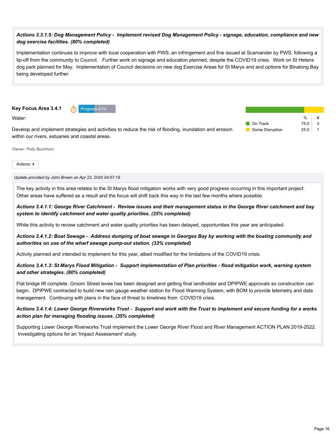# *Actions 3.3.1.5: Dog Management Policy - Implement revised Dog Management Policy - signage, education, compliance and new dog exercise facilities. (80% completed)*

Implementation continues to improve with local cooperation with PWS; an infringement and fine issued at Scamander by PWS, following a tip-off from the community to Council. Further work on signage and education planned, despite the COVID19 crisis. Work on St Helens dog park planned for May. Implementation of Council decisions on new dog Exercise Areas for St Marys and and options for Binalong Bay being developed further.

**Key Focus Area 3.4.1 n** Progress 43%

Water:

Develop and implement strategies and activities to reduce the risk of flooding, inundation and erosion within our rivers, estuaries and coastal areas.

 $\frac{0}{6}$  # **On Track 75.0 3** Some Disruption 25.0 | 1

*Owner: Polly Buchhorn*

Actions: 4

*Update provided by John Brown on Apr 23, 2020 04:57:18*

The key activity in this area relates to the St Marys flood mitigation works with very good progress occurring in this important project. Other areas have suffered as a result and the focus will shift back this way in the last few months where possible.

*Actions 3.4.1.1: George River Catchment - Review issues and their management status in the George River catchment and bay system to identify catchment and water quality priorities. (25% completed)*

While this activity to review catchment and water quality priorities has been delayed, opportunities this year are anticipated.

*Actions 3.4.1.2: Boat Sewage - Address dumping of boat sewage in Georges Bay by working with the boating community and authorities on use of the wharf sewage pump-out station. (33% completed)*

Activity planned and intended to implement for this year, albeit modified for the limitations of the COVID19 crisis.

#### *Actions 3.4.1.3: St Marys Flood Mitigation - Support implementation of Plan priorities - flood mitigation work, warning system and other strategies. (80% completed)*

Flat bridge lift complete. Groom Street levee has been designed and getting final landholder and DPIPWE approvals so construction can begin. DPIPWE contracted to build new rain gauge weather station for Flood Warming System, with BOM to provide telemetry and data management. Continuing with plans in the face of threat to timelines from COVID19 crisis.

*Actions 3.4.1.4: Lower George Riverworks Trust - Support and work with the Trust to implement and secure funding for a works action plan for managing flooding issues. (35% completed)*

Supporting Lower George Riverworks Trust implement the Lower George River Flood and River Management ACTION PLAN 2019-2022. Investigating options for an 'Impact Assessment' study.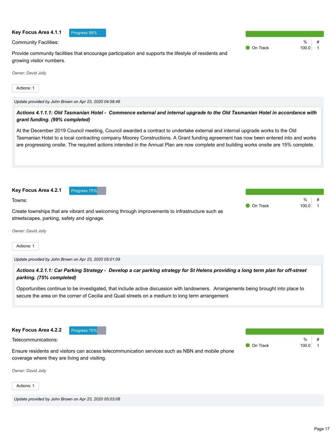| Key Focus Area 4.1.1<br>Progress 99%                                                                                                                                                                                                                                                                                                                                                                        |          |                                      |
|-------------------------------------------------------------------------------------------------------------------------------------------------------------------------------------------------------------------------------------------------------------------------------------------------------------------------------------------------------------------------------------------------------------|----------|--------------------------------------|
| <b>Community Facilities:</b>                                                                                                                                                                                                                                                                                                                                                                                | On Track | $\%$<br>#<br>100.0<br>$\overline{1}$ |
| Provide community facilities that encourage participation and supports the lifestyle of residents and<br>growing visitor numbers.                                                                                                                                                                                                                                                                           |          |                                      |
| Owner: David Jolly                                                                                                                                                                                                                                                                                                                                                                                          |          |                                      |
| Actions: 1                                                                                                                                                                                                                                                                                                                                                                                                  |          |                                      |
| Update provided by John Brown on Apr 23, 2020 04:58:46                                                                                                                                                                                                                                                                                                                                                      |          |                                      |
| Actions 4.1.1.1: Old Tasmanian Hotel - Commence external and internal upgrade to the Old Tasmanian Hotel in accordance with<br>grant funding. (99% completed)                                                                                                                                                                                                                                               |          |                                      |
| At the December 2019 Council meeting, Council awarded a contract to undertake external and internal upgrade works to the Old<br>Tasmanian Hotel to a local contracting company Moorey Constructions. A Grant funding agreement has now been entered into and works<br>are progressing onsite. The required actions intended in the Annual Plan are now complete and building works onsite are 15% complete. |          |                                      |
| Key Focus Area 4.2.1<br>Progress 75%                                                                                                                                                                                                                                                                                                                                                                        |          |                                      |
| Towns:                                                                                                                                                                                                                                                                                                                                                                                                      | On Track | $\%$<br>100.0<br>$\overline{1}$      |
| Create townships that are vibrant and welcoming through improvements to infrastructure such as<br>streetscapes, parking, safety and signage.                                                                                                                                                                                                                                                                |          |                                      |
| Owner: David Jolly                                                                                                                                                                                                                                                                                                                                                                                          |          |                                      |
| Actions: 1                                                                                                                                                                                                                                                                                                                                                                                                  |          |                                      |
| Update provided by John Brown on Apr 23, 2020 05:01:09                                                                                                                                                                                                                                                                                                                                                      |          |                                      |
| Actions 4.2.1.1: Car Parking Strategy - Develop a car parking strategy for St Helens providing a long term plan for off-street<br>parking. (75% completed)                                                                                                                                                                                                                                                  |          |                                      |
| Opportunities continue to be investigated, that include active discussion with landowners. Arrangements being brought into place to<br>secure the area on the corner of Cecilia and Quail streets on a medium to long term arrangement.                                                                                                                                                                     |          |                                      |
| Key Focus Area 4.2.2<br>Progress 75%                                                                                                                                                                                                                                                                                                                                                                        |          |                                      |
| Telecommunications:                                                                                                                                                                                                                                                                                                                                                                                         |          | %                                    |
| Ensure residents and visitors can access telecommunication services such as NBN and mobile phone<br>coverage where they are living and visiting.                                                                                                                                                                                                                                                            | On Track | 100.0<br>$\mathbf{1}$                |
| Owner: David Jolly                                                                                                                                                                                                                                                                                                                                                                                          |          |                                      |
| Actions: 1                                                                                                                                                                                                                                                                                                                                                                                                  |          |                                      |
| Update provided by John Brown on Apr 23, 2020 05:03:08                                                                                                                                                                                                                                                                                                                                                      |          |                                      |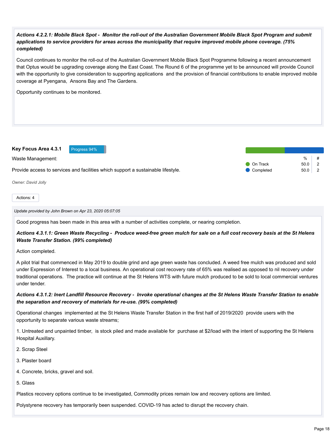# *Actions 4.2.2.1: Mobile Black Spot - Monitor the roll-out of the Australian Government Mobile Black Spot Program and submit applications to service providers for areas across the municipality that require improved mobile phone coverage. (75% completed)*

Council continues to monitor the roll-out of the Australian Government Mobile Black Spot Programme following a recent announcement that Optus would be upgrading coverage along the East Coast. The Round 6 of the programme yet to be announced will provide Council with the opportunity to give consideration to supporting applications and the provision of financial contributions to enable improved mobile coverage at Pyengana, Ansons Bay and The Gardens.

Opportunity continues to be monitored.



Actions: 4

#### *Update provided by John Brown on Apr 23, 2020 05:07:05*

Good progress has been made in this area with a number of activities complete, or nearing completion.

#### *Actions 4.3.1.1: Green Waste Recycling - Produce weed-free green mulch for sale on a full cost recovery basis at the St Helens Waste Transfer Station. (99% completed)*

Action completed.

A pilot trial that commenced in May 2019 to double grind and age green waste has concluded. A weed free mulch was produced and sold under Expression of Interest to a local business. An operational cost recovery rate of 65% was realised as opposed to nil recovery under traditional operations. The practice will continue at the St Helens WTS with future mulch produced to be sold to local commercial ventures under tender.

#### *Actions 4.3.1.2: Inert Landfill Resource Recovery - Invoke operational changes at the St Helens Waste Transfer Station to enable the separation and recovery of materials for re-use. (99% completed)*

Operational changes implemented at the St Helens Waste Transfer Station in the first half of 2019/2020 provide users with the opportunity to separate various waste streams;

1. Untreated and unpainted timber, is stock piled and made available for purchase at \$2/load with the intent of supporting the St Helens Hospital Auxillary.

- 2. Scrap Steel
- 3. Plaster board
- 4. Concrete, bricks, gravel and soil.

5. Glass

Plastics recovery options continue to be investigated, Commodity prices remain low and recovery options are limited.

Polystyrene recovery has temporarily been suspended. COVID-19 has acted to disrupt the recovery chain.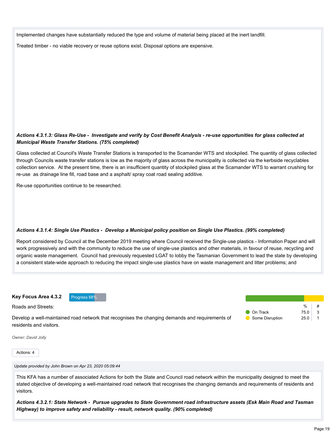Implemented changes have substantially reduced the type and volume of material being placed at the inert landfill.

Treated timber - no viable recovery or reuse options exist. Disposal options are expensive.

# *Actions 4.3.1.3: Glass Re-Use - Investigate and verify by Cost Benefit Analysis - re-use opportunities for glass collected at Municipal Waste Transfer Stations. (75% completed)*

Glass collected at Council's Waste Transfer Stations is transported to the Scamander WTS and stockpiled. The quantity of glass collected through Councils waste transfer stations is low as the majority of glass across the municipality is collected via the kerbside recyclables collection service. At the present time, there is an insufficient quantity of stockpiled glass at the Scamander WTS to warrant crushing for re-use as drainage line fill, road base and a asphalt/ spray coat road sealing additive.

Re-use opportunities continue to be researched.

# *Actions 4.3.1.4: Single Use Plastics - Develop a Municipal policy position on Single Use Plastics. (99% completed)*

Report considered by Council at the December 2019 meeting where Council received the Single-use plastics - Information Paper and will work progressively and with the community to reduce the use of single-use plastics and other materials, in favour of reuse, recycling and organic waste management. Council had previously requested LGAT to lobby the Tasmanian Government to lead the state by developing a consistent state-wide approach to reducing the impact single-use plastics have on waste management and litter problems; and

**Key Focus Area 4.3.2** Progress 68%

Roads and Streets:

Develop a well-maintained road network that recognises the changing demands and requirements of  $\bigcirc$  On Track 75.0 3 Some Disruption 25.0 1

residents and visitors.

*Owner: David Jolly*

Actions: 4

*Update provided by John Brown on Apr 23, 2020 05:09:44*

This KFA has a number of associated Actions for both the State and Council road network within the municipality designed to meet the stated objective of developing a well-maintained road network that recognises the changing demands and requirements of residents and visitors.

*Actions 4.3.2.1: State Network - Pursue upgrades to State Government road infrastructure assets (Esk Main Road and Tasman Highway) to improve safety and reliability - result, network quality. (90% completed)*

 $\%$  #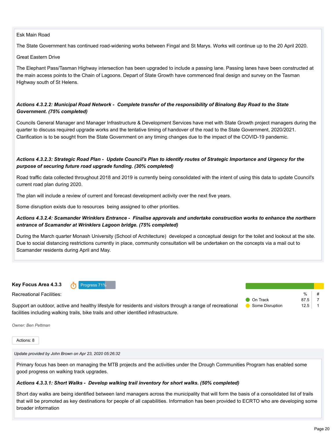#### Esk Main Road

The State Government has continued road-widening works between Fingal and St Marys. Works will continue up to the 20 April 2020.

#### Great Eastern Drive

The Elephant Pass/Tasman Highway intersection has been upgraded to include a passing lane. Passing lanes have been constructed at the main access points to the Chain of Lagoons. Depart of State Growth have commenced final design and survey on the Tasman Highway south of St Helens.

## *Actions 4.3.2.2: Municipal Road Network - Complete transfer of the responsibility of Binalong Bay Road to the State Government. (75% completed)*

Councils General Manager and Manager Infrastructure & Development Services have met with State Growth project managers during the quarter to discuss required upgrade works and the tentative timing of handover of the road to the State Government, 2020/2021. Clarification is to be sought from the State Government on any timing changes due to the impact of the COVID-19 pandemic.

# *Actions 4.3.2.3: Strategic Road Plan - Update Council's Plan to identify routes of Strategic Importance and Urgency for the purpose of securing future road upgrade funding. (30% completed)*

Road traffic data collected throughout 2018 and 2019 is currently being consolidated with the intent of using this data to update Council's current road plan during 2020.

The plan will include a review of current and forecast development activity over the next five years.

Some disruption exists due to resources being assigned to other priorities.

# *Actions 4.3.2.4: Scamander Wrinklers Entrance - Finalise approvals and undertake construction works to enhance the northern entrance of Scamander at Wrinklers Lagoon bridge. (75% completed)*

During the March quarter Monash University (School of Architecture) developed a conceptual design for the toilet and lookout at the site. Due to social distancing restrictions currently in place, community consultation will be undertaken on the concepts via a mail out to Scamander residents during April and May.

**Key Focus Area 4.3.3 Progress 71%** 

Recreational Facilities:

Support an outdoor, active and healthy lifestyle for residents and visitors through a range of recreational facilities including walking trails, bike trails and other identified infrastructure. Some Disruption 12.5 1

*Owner: Ben Pettman*

Actions: 8

*Update provided by John Brown on Apr 23, 2020 05:26:32*

Primary focus has been on managing the MTB projects and the activities under the Drough Communities Program has enabled some good progress on walking track upgrades.

#### *Actions 4.3.3.1: Short Walks - Develop walking trail inventory for short walks. (50% completed)*

Short day walks are being identified between land managers across the municipality that will form the basis of a consolidated list of trails that will be promoted as key destinations for people of all capabilities. Information has been provided to ECRTO who are developing some broader information

 $\frac{0}{6}$ 

**On Track** 87.5 7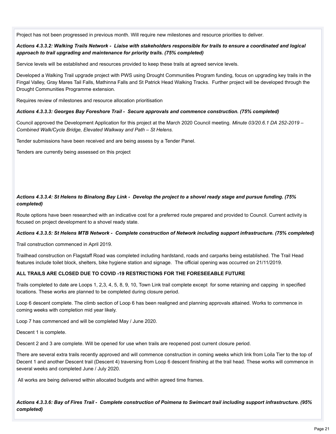Project has not been progressed in previous month. Will require new milestones and resource priorities to deliver.

#### *Actions 4.3.3.2: Walking Trails Network - Liaise with stakeholders responsible for trails to ensure a coordinated and logical approach to trail upgrading and maintenance for priority trails. (75% completed)*

Service levels will be established and resources provided to keep these trails at agreed service levels.

Developed a Walking Trail upgrade project with PWS using Drought Communities Program funding, focus on upgrading key trails in the Fingal Valley, Gray Mares Tail Falls, Mathinna Falls and St Patrick Head Walking Tracks. Further project will be developed through the Drought Communities Programme extension.

Requires review of milestones and resource allocation prioritisation

#### *Actions 4.3.3.3: Georges Bay Foreshore Trail - Secure approvals and commence construction. (75% completed)*

Council approved the Development Application for this project at the March 2020 Council meeting. *Minute 03/20.6.1 DA 252-2019 – Combined Walk/Cycle Bridge, Elevated Walkway and Path – St Helens.*

Tender submissions have been received and are being assess by a Tender Panel.

Tenders are currently being assessed on this project

# *Actions 4.3.3.4: St Helens to Binalong Bay Link - Develop the project to a shovel ready stage and pursue funding. (75% completed)*

Route options have been researched with an indicative cost for a preferred route prepared and provided to Council. Current activity is focused on project development to a shovel ready state.

#### *Actions 4.3.3.5: St Helens MTB Network - Complete construction of Network including support infrastructure. (75% completed)*

Trail construction commenced in April 2019.

Trailhead construction on Flagstaff Road was completed including hardstand, roads and carparks being established. The Trail Head features include toilet block, shelters, bike hygiene station and signage. The official opening was occurred on 21/11/2019.

#### **ALL TRAILS ARE CLOSED DUE TO COVID -19 RESTRICTIONS FOR THE FORESEEABLE FUTURE**

Trails completed to date are Loops 1, 2,3, 4, 5, 8, 9, 10, Town Link trail complete except for some retaining and capping in specified locations. These works are planned to be completed during closure period.

Loop 6 descent complete. The climb section of Loop 6 has been realigned and planning approvals attained. Works to commence in coming weeks with completion mid year likely.

Loop 7 has commenced and will be completed May / June 2020.

Descent 1 is complete.

Descent 2 and 3 are complete. Will be opened for use when trails are reopened post current closure period.

There are several extra trails recently approved and will commence construction in coming weeks which link from Loila Tier to the top of Decent 1 and another Descent trail (Descent 4) traversing from Loop 6 descent finishing at the trail head. These works will commence in several weeks and completed June / July 2020.

All works are being delivered within allocated budgets and within agreed time frames.

*Actions 4.3.3.6: Bay of Fires Trail - Complete construction of Poimena to Swimcart trail including support infrastructure. (95% completed)*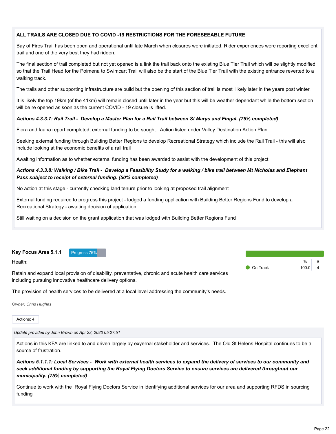# **ALL TRAILS ARE CLOSED DUE TO COVID -19 RESTRICTIONS FOR THE FORESEEABLE FUTURE**

Bay of Fires Trail has been open and operational until late March when closures were initiated. Rider experiences were reporting excellent trail and one of the very best they had ridden.

The final section of trail completed but not yet opened is a link the trail back onto the existing Blue Tier Trail which will be slightly modified so that the Trail Head for the Poimena to Swimcart Trail will also be the start of the Blue Tier Trail with the existing entrance reverted to a walking track.

The trails and other supporting infrastructure are build but the opening of this section of trail is most likely later in the years post winter.

It is likely the top 19km (of the 41km) will remain closed until later in the year but this will be weather dependant while the bottom section will be re opened as soon as the current COVID - 19 closure is lifted.

#### *Actions 4.3.3.7: Rail Trail - Develop a Master Plan for a Rail Trail between St Marys and Fingal. (75% completed)*

Flora and fauna report completed, external funding to be sought. Action listed under Valley Destination Action Plan

Seeking external funding through Building Better Regions to develop Recreational Strategy which include the Rail Trail - this will also include looking at the economic benefits of a rail trail

Awaiting information as to whether external funding has been awarded to assist with the development of this project

#### *Actions 4.3.3.8: Walking / Bike Trail - Develop a Feasibility Study for a walking / bike trail between Mt Nicholas and Elephant Pass subject to receipt of external funding. (50% completed)*

No action at this stage - currently checking land tenure prior to looking at proposed trail alignment

External funding required to progress this project - lodged a funding application with Building Better Regions Fund to develop a Recreational Strategy - awaiting decision of application

Still waiting on a decision on the grant application that was lodged with Building Better Regions Fund

#### **Key Focus Area 5.1.1** Progress 75%

Health:

Retain and expand local provision of disability, preventative, chronic and acute health care services including pursuing innovative healthcare delivery options.

The provision of health services to be delivered at a local level addressing the community's needs.

*Owner: Chris Hughes*

Actions: 4

*Update provided by John Brown on Apr 23, 2020 05:27:51*

Actions in this KFA are linked to and driven largely by exyernal stakeholder and services. The Old St Helens Hospital continues to be a source of frustration.

*Actions 5.1.1.1: Local Services - Work with external health services to expand the delivery of services to our community and seek additional funding by supporting the Royal Flying Doctors Service to ensure services are delivered throughout our municipality. (75% completed)*

Continue to work with the Royal Flying Doctors Service in identifying additional services for our area and supporting RFDS in sourcing funding

 $\frac{1}{2}$ 

On Track 100.0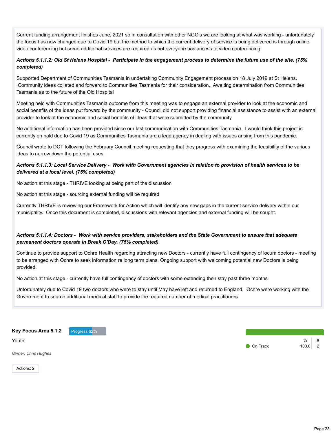Current funding arrangement finishes June, 2021 so in consultation with other NGO's we are looking at what was working - unfortunately the focus has now changed due to Covid 19 but the method to which the current delivery of service is being delivered is through online video conferencing but some additional services are required as not everyone has access to video conferencing

# *Actions 5.1.1.2: Old St Helens Hospital - Participate in the engagement process to determine the future use of the site. (75% completed)*

Supported Department of Communities Tasmania in undertaking Community Engagement process on 18 July 2019 at St Helens. Community ideas collated and forward to Communities Tasmania for their consideration. Awaiting determination from Communities Tasmania as to the future of the Old Hospital

Meeting held with Communities Tasmania outcome from this meeting was to engage an external provider to look at the economic and social benefits of the ideas put forward by the community - Council did not support providing financial assistance to assist with an external provider to look at the economic and social benefits of ideas that were submitted by the community

No additional information has been provided since our last communication with Communities Tasmania. I would think this project is currently on hold due to Covid 19 as Communities Tasmania are a lead agency in dealing with issues arising from this pandemic.

Council wrote to DCT following the February Council meeting requesting that they progress with examining the feasibility of the various ideas to narrow down the potential uses.

# *Actions 5.1.1.3: Local Service Delivery - Work with Government agencies in relation to provision of health services to be delivered at a local level. (75% completed)*

No action at this stage - THRIVE looking at being part of the discussion

No action at this stage - sourcing external funding will be required

Currently THRIVE is reviewing our Framework for Action which will identify any new gaps in the current service delivery within our municipality. Once this document is completed, discussions with relevant agencies and external funding will be sought.

# *Actions 5.1.1.4: Doctors - Work with service providers, stakeholders and the State Government to ensure that adequate permanent doctors operate in Break O'Day. (75% completed)*

Continue to provide support to Ochre Health regarding attracting new Doctors - currently have full contingency of locum doctors - meeting to be arranged with Ochre to seek information re long term plans. Ongoing support with welcoming potential new Doctors is being provided.

No action at this stage - currently have full contingency of doctors with some extending their stay past three months

Unfortunately due to Covid 19 two doctors who were to stay until May have left and returned to England. Ochre were working with the Government to source additional medical staff to provide the required number of medical practitioners

**Key Focus Area 5.1.2** Progress 62%

Youth

*Owner: Chris Hughes*

 $%$  # **On Track 100.0 2** 

Actions: 2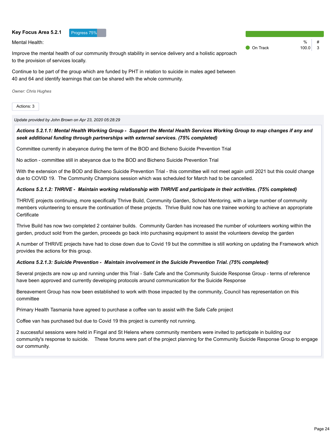#### Key Focus Area 5.2.1 Progress 75%

Mental Health:

Improve the mental health of our community through stability in service delivery and a holistic approach to the provision of services locally.

Continue to be part of the group which are funded by PHT in relation to suicide in males aged between 40 and 64 and identify learnings that can be shared with the whole community.

*Owner: Chris Hughes*

Actions: 3

*Update provided by John Brown on Apr 23, 2020 05:28:29*

# *Actions 5.2.1.1: Mental Health Working Group - Support the Mental Health Services Working Group to map changes if any and seek additional funding through partnerships with external services. (75% completed)*

Committee currently in abeyance during the term of the BOD and Bicheno Suicide Prevention Trial

No action - committee still in abeyance due to the BOD and Bicheno Suicide Prevention Trial

With the extension of the BOD and Bicheno Suicide Prevention Trial - this committee will not meet again until 2021 but this could change due to COVID 19. The Community Champions session which was scheduled for March had to be cancelled.

#### *Actions 5.2.1.2: THRIVE - Maintain working relationship with THRIVE and participate in their activities. (75% completed)*

THRIVE projects continuing, more specifically Thrive Build, Community Garden, School Mentoring, with a large number of community members volunteering to ensure the continuation of these projects. Thrive Build now has one trainee working to achieve an appropriate **Certificate** 

Thrive Build has now two completed 2 container builds. Community Garden has increased the number of volunteers working within the garden, product sold from the garden, proceeds go back into purchasing equipment to assist the volunteers develop the garden

A number of THRIVE projects have had to close down due to Covid 19 but the committee is still working on updating the Framework which provides the actions for this group.

#### *Actions 5.2.1.3: Suicide Prevention - Maintain involvement in the Suicide Prevention Trial. (75% completed)*

Several projects are now up and running under this Trial - Safe Cafe and the Community Suicide Response Group - terms of reference have been approved and currently developing protocols around communication for the Suicide Response

Bereavement Group has now been established to work with those impacted by the community, Council has representation on this committee

Primary Health Tasmania have agreed to purchase a coffee van to assist with the Safe Cafe project

Coffee van has purchased but due to Covid 19 this project is currently not running.

2 successful sessions were held in Fingal and St Helens where community members were invited to participate in building our community's response to suicide. These forums were part of the project planning for the Community Suicide Response Group to engage our community.

 $\frac{9}{6}$ **On Track** 100.0 3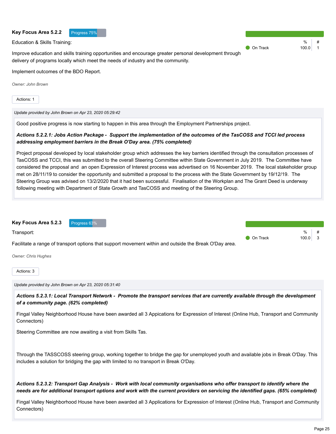# **Key Focus Area 5.2.3** Progress 63% Actions: 3  $0/2$ Good positive progress is now starting to happen in this area through the Employment Partnerships project. *Actions 5.2.2.1: Jobs Action Package - Support the implementation of the outcomes of the TasCOSS and TCCI led process addressing employment barriers in the Break O'Day area. (75% completed)* Project proposal developed by local stakeholder group which addresses the key barriers identified through the consultation processes of TasCOSS and TCCI, this was submitted to the overall Steering Committee within State Government in July 2019. The Committee have met on 28/11/19 to consider the opportunity and submitted a proposal to the process with the State Government by 19/12/19. The Steering Group was advised on 13/2/2020 that it had been successful. Finalisation of the Workplan and The Grant Deed is underway following meeting with Department of State Growth and TasCOSS and meeting of the Steering Group. *Actions 5.2.3.1: Local Transport Network - Promote the transport services that are currently available through the development of a community page. (62% completed)* Connectors) Steering Committee are now awaiting a visit from Skills Tas. includes a solution for bridging the gap with limited to no transport in Break O'Day. *Actions 5.2.3.2: Transport Gap Analysis - Work with local community organisations who offer transport to identify where the needs are for additional transport options and work with the current providers on servicing the identified gaps. (65% completed)*

Improve education and skills training opportunities and encourage greater personal development through delivery of programs locally which meet the needs of industry and the community. On Track 100.0

Implement outcomes of the BDO Report.

**Key Focus Area 5.2.2** Progress 75%

Education & Skills Training:

*Owner: John Brown*

Actions: 1

*Update provided by John Brown on Apr 23, 2020 05:29:42*

considered the proposal and an open Expression of Interest process was advertised on 16 November 2019. The local stakeholder group

Transport: Facilitate a range of transport options that support movement within and outside the Break O'Day area. *Owner: Chris Hughes* **O** On Track 100.0 3

*Update provided by John Brown on Apr 23, 2020 05:31:40*

Fingal Valley Neighborhood House have been awarded all 3 Appications for Expression of Interest (Online Hub, Transport and Community

Through the TASSCOSS steering group, working together to bridge the gap for unemployed youth and available jobs in Break O'Day. This

Fingal Valley Neighborhood House have been awarded all 3 Applications for Expression of Interest (Online Hub, Transport and Community Connectors)

 $\frac{9}{6}$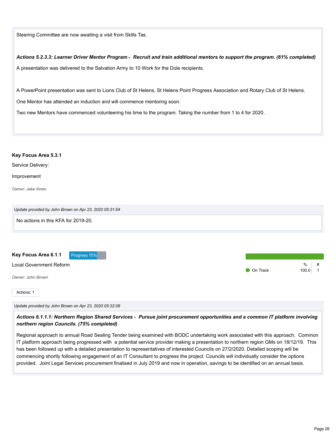Steering Committee are now awaiting a visit from Skills Tas.

*Actions 5.2.3.3: Learner Driver Mentor Program - Recruit and train additional mentors to support the program. (61% completed)* A presentation was delivered to the Salvation Army to 10 Work for the Dole recipients.

A PowerPoint presentation was sent to Lions Club of St Helens, St Helens Point Progress Association and Rotary Club of St Helens.

One Mentor has attended an induction and will commence mentoring soon.

Two new Mentors have commenced volunteering his time to the program. Taking the number from 1 to 4 for 2020.

#### **Key Focus Area 5.3.1**

Service Delivery:

Improvement

*Owner: Jake Ihnen*

| Update provided by John Brown on Apr 23, 2020 05:31:54 |          |                 |
|--------------------------------------------------------|----------|-----------------|
| No actions in this KFA for 2019-20.                    |          |                 |
| Key Focus Area 6.1.1<br>Progress 75%                   |          |                 |
| Local Government Reform<br>Owner: John Brown           | On Track | %<br>#<br>100.0 |
| Actions: 1                                             |          |                 |

*Update provided by John Brown on Apr 23, 2020 05:32:08*

*Actions 6.1.1.1: Northern Region Shared Services - Pursue joint procurement opportunities and a common IT platform involving northern region Councils. (75% completed)*

Regional approach to annual Road Sealing Tender being examined with BODC undertaking work associated with this approach. Common IT platform approach being progressed with a potential service provider making a presentation to northern region GMs on 18/12/19. This has been followed up with a detailed presentation to representatives of interested Councils on 27/2/2020. Detailed scoping will be commencing shortly following engagement of an IT Consultant to progress the project. Councils will individually consider the options provided. Joint Legal Services procurement finalised in July 2019 and now in operation, savings to be identified on an annual basis.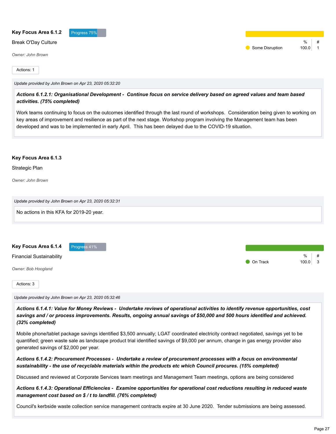| Key Focus Area 6.1.2       | Progress 75%                                           |  |                 |                 |
|----------------------------|--------------------------------------------------------|--|-----------------|-----------------|
| <b>Break O'Day Culture</b> |                                                        |  | Some Disruption | %<br>#<br>100.0 |
| <b>Owner: John Brown</b>   |                                                        |  |                 |                 |
| Actions: 1                 |                                                        |  |                 |                 |
|                            | Update provided by John Brown on Apr 23, 2020 05:32:20 |  |                 |                 |
|                            |                                                        |  |                 |                 |

*Actions 6.1.2.1: Organisational Development - Continue focus on service delivery based on agreed values and team based activities. (75% completed)*

Work teams continuing to focus on the outcomes identified through the last round of workshops. Consideration being given to working on key areas of improvement and resilience as part of the next stage. Workshop program involving the Management team has been developed and was to be implemented in early April. This has been delayed due to the COVID-19 situation.

#### **Key Focus Area 6.1.3**

#### Strategic Plan

*Owner: John Brown*

| Update provided by John Brown on Apr 23, 2020 05:32:31 |
|--------------------------------------------------------|
| No actions in this KFA for 2019-20 year.               |
|                                                        |

| Key Focus Area 6.1.4            | Progress 41% |  |          |           |   |
|---------------------------------|--------------|--|----------|-----------|---|
| <b>Financial Sustainability</b> |              |  |          | %         | # |
|                                 |              |  | On Track | $100.0$ 3 |   |
| Owner: Bob Hoogland             |              |  |          |           |   |
| Actions: 3                      |              |  |          |           |   |
|                                 |              |  |          |           |   |

*Update provided by John Brown on Apr 23, 2020 05:32:46*

*Actions 6.1.4.1: Value for Money Reviews - Undertake reviews of operational activities to identify revenue opportunities, cost savings and / or process improvements. Results, ongoing annual savings of \$50,000 and 500 hours identified and achieved. (32% completed)*

Mobile phone/tablet package savings identified \$3,500 annually; LGAT coordinated electricity contract negotiated, savings yet to be quantified; green waste sale as landscape product trial identified savings of \$9,000 per annum, change in gas energy provider also generated savings of \$2,000 per year.

*Actions 6.1.4.2: Procurement Processes - Undertake a review of procurement processes with a focus on environmental sustainability - the use of recyclable materials within the products etc which Council procures. (15% completed)*

Discussed and reviewed at Corporate Services team meetings and Management Team meetings, options are being considered

*Actions 6.1.4.3: Operational Efficiencies - Examine opportunities for operational cost reductions resulting in reduced waste management cost based on \$ / t to landfill. (76% completed)*

Council's kerbside waste collection service management contracts expire at 30 June 2020. Tender submissions are being assessed.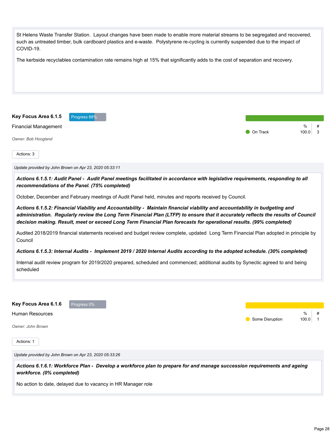| St Helens Waste Transfer Station. Layout changes have been made to enable more material streams to be segregated and recovered,<br>such as untreated timber, bulk cardboard plastics and e-waste. Polystyrene re-cycling is currently suspended due to the impact of<br>COVID-19.                                                                                                      |                                          |
|----------------------------------------------------------------------------------------------------------------------------------------------------------------------------------------------------------------------------------------------------------------------------------------------------------------------------------------------------------------------------------------|------------------------------------------|
| The kerbside recyclables contamination rate remains high at 15% that significantly adds to the cost of separation and recovery.                                                                                                                                                                                                                                                        |                                          |
| Key Focus Area 6.1.5<br>Progress 68%                                                                                                                                                                                                                                                                                                                                                   |                                          |
| <b>Financial Management</b><br>Owner: Bob Hoogland                                                                                                                                                                                                                                                                                                                                     | %<br>#<br>On Track<br>100.0<br>3         |
| Actions: 3                                                                                                                                                                                                                                                                                                                                                                             |                                          |
| Update provided by John Brown on Apr 23, 2020 05:33:11                                                                                                                                                                                                                                                                                                                                 |                                          |
| Actions 6.1.5.1: Audit Panel - Audit Panel meetings facilitated in accordance with legislative requirements, responding to all<br>recommendations of the Panel. (75% completed)                                                                                                                                                                                                        |                                          |
| October, December and February meetings of Audit Panel held, minutes and reports received by Council.                                                                                                                                                                                                                                                                                  |                                          |
| Actions 6.1.5.2: Financial Viability and Accountability - Maintain financial viability and accountability in budgeting and<br>administration. Regularly review the Long Term Financial Plan (LTFP) to ensure that it accurately reflects the results of Council<br>decision making. Result, meet or exceed Long Term Financial Plan forecasts for operational results. (99% completed) |                                          |
| Audited 2018/2019 financial statements received and budget review complete, updated Long Term Financial Plan adopted in principle by<br>Council                                                                                                                                                                                                                                        |                                          |
| Actions 6.1.5.3: Internal Audits - Implement 2019 / 2020 Internal Audits according to the adopted schedule. (30% completed)                                                                                                                                                                                                                                                            |                                          |
| Internal audit review program for 2019/2020 prepared, scheduled and commenced; additional audits by Synectic agreed to and being<br>scheduled                                                                                                                                                                                                                                          |                                          |
| Key Focus Area 6.1.6<br>Progress 0%                                                                                                                                                                                                                                                                                                                                                    |                                          |
| <b>Human Resources</b>                                                                                                                                                                                                                                                                                                                                                                 | %<br>#                                   |
| Owner: John Brown                                                                                                                                                                                                                                                                                                                                                                      | Some Disruption<br>100.0<br>$\mathbf{1}$ |
| Actions: 1                                                                                                                                                                                                                                                                                                                                                                             |                                          |
| Update provided by John Brown on Apr 23, 2020 05:33:26                                                                                                                                                                                                                                                                                                                                 |                                          |
| Actions 6.1.6.1: Workforce Plan - Develop a workforce plan to prepare for and manage succession requirements and ageing<br>workforce. (0% completed)                                                                                                                                                                                                                                   |                                          |
| No action to date, delayed due to vacancy in HR Manager role                                                                                                                                                                                                                                                                                                                           |                                          |
|                                                                                                                                                                                                                                                                                                                                                                                        |                                          |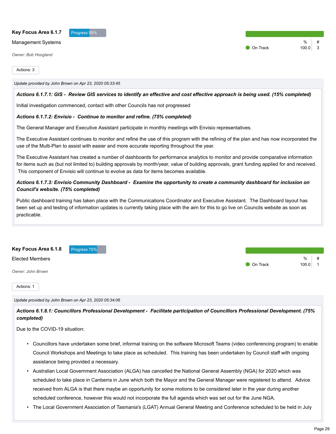#### Key Focus Area 6.1.7 **Progress 55%**

#### Management Systems

*Owner: Bob Hoogland*

Actions: 3

#### *Update provided by John Brown on Apr 23, 2020 05:33:45*

#### *Actions 6.1.7.1: GIS - Review GIS services to identify an effective and cost effective approach is being used. (15% completed)*

Initial investigation commenced, contact with other Councils has not progressed

#### *Actions 6.1.7.2: Envisio - Continue to monitor and refine. (75% completed)*

The General Manager and Executive Assistant participate in monthly meetings with Envisio representatives.

The Executive Assistant continues to monitor and refine the use of this program with the refining of the plan and has now incorporated the use of the Multi-Plan to assist with easier and more accurate reporting throughout the year.

The Executive Assistant has created a number of dashboards for performance analytics to monitor and provide comparative information for items such as (but not limited to) building approvals by month/year, value of building approvals, grant funding applied for and received. This component of Envisio will continue to evolve as data for items becomes available.

#### *Actions 6.1.7.3: Envisio Community Dashboard - Examine the opportunity to create a community dashboard for inclusion on Council's website. (75% completed)*

Public dashboard training has taken place with the Communications Coordinator and Executive Assistant. The Dashboard layout has been set up and testing of information updates is currently taking place with the aim for this to go live on Councils website as soon as practicable.

**Key Focus Area 6.1.8** Progress 75%

#### Elected Members

*Owner: John Brown*

Actions: 1

#### *Update provided by John Brown on Apr 23, 2020 05:34:06*

*Actions 6.1.8.1: Councillors Professional Development - Facilitate participation of Councillors Professional Development. (75% completed)*

Due to the COVID-19 situation:

- Councillors have undertaken some brief, informal training on the software Microsoft Teams (video conferencing program) to enable Council Workshops and Meetings to take place as scheduled. This training has been undertaken by Council staff with ongoing assistance being provided a necessary.
- Australian Local Government Association (ALGA) has cancelled the National General Assembly (NGA) for 2020 which was scheduled to take place in Canberra in June which both the Mayor and the General Manager were registered to attend. Advice received from ALGA is that there maybe an opportunity for some motions to be considered later in the year during another scheduled conference, however this would not incorporate the full agenda which was set out for the June NGA.
- The Local Government Association of Tasmania's (LGAT) Annual General Meeting and Conference scheduled to be held in July

 $\frac{9}{6}$ 

**O** On Track 100.0 1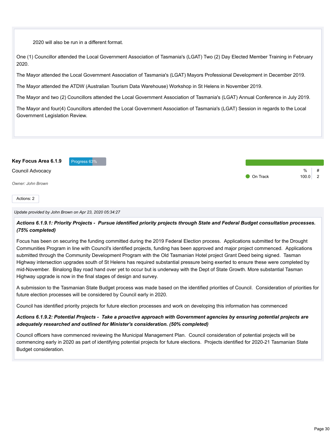2020 will also be run in a different format.

One (1) Councillor attended the Local Government Association of Tasmania's (LGAT) Two (2) Day Elected Member Training in February 2020.

The Mayor attended the Local Government Association of Tasmania's (LGAT) Mayors Professional Development in December 2019.

The Mayor attended the ATDW (Australian Tourism Data Warehouse) Workshop in St Helens in November 2019.

The Mayor and two (2) Councillors attended the Local Government Association of Tasmania's (LGAT) Annual Conference in July 2019.

The Mayor and four(4) Councillors attended the Local Government Association of Tasmania's (LGAT) Session in regards to the Local Government Legislation Review.



*Update provided by John Brown on Apr 23, 2020 05:34:27*

*Actions 6.1.9.1: Priority Projects - Pursue identified priority projects through State and Federal Budget consultation processes. (75% completed)*

Focus has been on securing the funding committed during the 2019 Federal Election process. Applications submitted for the Drought Communities Program in line with Council's identified projects, funding has been approved and major project commenced. Applications submitted through the Community Development Program with the Old Tasmanian Hotel project Grant Deed being signed. Tasman Highway intersection upgrades south of St Helens has required substantial pressure being exerted to ensure these were completed by mid-November. Binalong Bay road hand over yet to occur but is underway with the Dept of State Growth. More substantial Tasman Highway upgrade is now in the final stages of design and survey.

A submission to the Tasmanian State Budget process was made based on the identified priorities of Council. Consideration of priorities for future election processes will be considered by Council early in 2020.

Council has identified priority projects for future election processes and work on developing this information has commenced

# *Actions 6.1.9.2: Potential Projects - Take a proactive approach with Government agencies by ensuring potential projects are adequately researched and outlined for Minister's consideration. (50% completed)*

Council officers have commenced reviewing the Municipal Management Plan. Council consideration of potential projects will be commencing early in 2020 as part of identifying potential projects for future elections. Projects identified for 2020-21 Tasmanian State Budget consideration.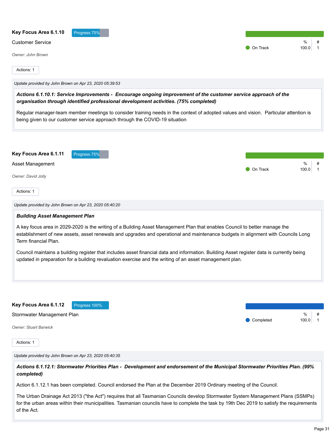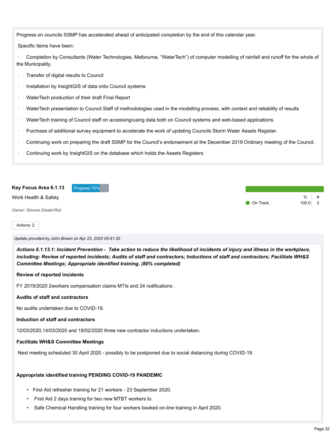Progress on councils SSMP has accelerated ahead of anticipated completion by the end of this calendar year.

Specific items have been:

· Completion by Consultants (Water Technologies, Melbourne, "WaterTech") of computer modelling of rainfall and runoff for the whole of the Municipality.

- · Transfer of digital results to Council
- Installation by InsightGIS of data onto Council systems
- · WaterTech production of their draft Final Report
- · WaterTech presentation to Council Staff of methodologies used in the modelling process, with context and reliability of results
- · WaterTech training of Council staff on accessing/using data both on Council systems and web-based applications.
- · Purchase of additional survey equipment to accelerate the work of updating Councils Storm Water Assets Register.
- · Continuing work on preparing the draft SSMP for the Council's endorsement at the December 2019 Ordinary meeting of the Council.
- Continuing work by InsightGIS on the database which holds the Assets Registers.

| Key Focus Area 6.1.13           | Progress 75% |                 |            |  |
|---------------------------------|--------------|-----------------|------------|--|
| Work Health & Safety            |              | <b>On Track</b> | %<br>100.0 |  |
| <b>Owner: Simone Ewald-Rist</b> |              |                 |            |  |

#### Actions: 2

*Update provided by John Brown on Apr 23, 2020 05:41:30*

*Actions 6.1.13.1: Incident Prevention - Take action to reduce the likelihood of incidents of injury and illness in the workplace, including: Review of reported incidents; Audits of staff and contractors; Inductions of staff and contractors; Facilitate WH&S Committee Meetings; Appropriate identified training. (80% completed)*

#### **Review of reported incidents**

FY 2019/2020 2workers compensation claims MTIs and 24 notifications .

#### **Audits of staff and contractors**

No audits undertaken due to COVID-19.

#### **Induction of staff and contractors**

12/03/2020,14/03/2020 and 18/02/2020 three new contractor inductions undertaken.

#### **Facilitate WH&S Committee Meetings**

Next meeting scheduled 30 April 2020 - possibly to be postponed due to social distancing during COVID-19.

#### **Appropriate identified training PENDING COVID-19 PANDEMIC**

- First Aid refresher training for 21 workers 23 September 2020.
- First Aid 2 days training for two new MTBT workers to
- Safe Chemical Handling training for four workers booked on-line training in April 2020.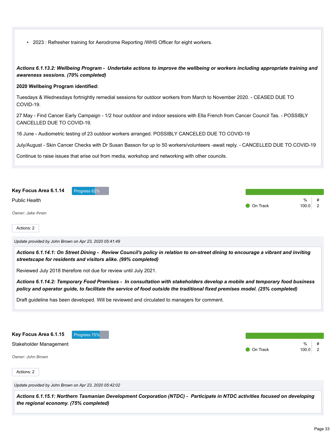| • 2023: Refresher training for Aerodrome Reporting /WHS Officer for eight workers. |  |
|------------------------------------------------------------------------------------|--|
|------------------------------------------------------------------------------------|--|

*Actions 6.1.13.2: Wellbeing Program - Undertake actions to improve the wellbeing or workers including appropriate training and awareness sessions. (70% completed)*

#### **2020 Wellbeing Program identified:**

Tuesdays & Wednesdays fortnightly remedial sessions for outdoor workers from March to November 2020. - CEASED DUE TO COVID-19.

27 May - Find Cancer Early Campaign - 1/2 hour outdoor and indoor sessions with Ella French from Cancer Council Tas. - POSSIBLY CANCELLED DUE TO COVID-19.

16 June - Audiometric testing of 23 outdoor workers arranged. POSSIBLY CANCELED DUE TO COVID-19

July/August - Skin Cancer Checks with Dr Susan Basson for up to 50 workers/volunteers -await reply. - CANCELLED DUE TO COVID-19

Continue to raise issues that arise out from media, workshop and networking with other councils.

| Key Focus Area 6.1.14 Progress 62% |                    |            |  |
|------------------------------------|--------------------|------------|--|
| Public Health                      | $\bullet$ On Track | %<br>100.0 |  |
| Owner: Jake Ihnen                  |                    |            |  |

Actions: 2

*Update provided by John Brown on Apr 23, 2020 05:41:49*

*Actions 6.1.14.1: On Street Dining - Review Council's policy in relation to on-street dining to encourage a vibrant and inviting streetscape for residents and visitors alike. (99% completed)*

Reviewed July 2018 therefore not due for review until July 2021.

*Actions 6.1.14.2: Temporary Food Premises - In consultation with stakeholders develop a mobile and temporary food business policy and operator guide, to facilitate the service of food outside the traditional fixed premises model. (25% completed)*

Draft guideline has been developed. Will be reviewed and circulated to managers for comment.

| Key Focus Area 6.1.15 Progress 75% |                 |                |  |
|------------------------------------|-----------------|----------------|--|
| Stakeholder Management             | <b>On Track</b> | %<br>$100.0$ 2 |  |
| Owner: John Brown                  |                 |                |  |

Actions: 2

*Update provided by John Brown on Apr 23, 2020 05:42:02*

*Actions 6.1.15.1: Northern Tasmanian Development Corporation (NTDC) - Participate in NTDC activities focused on developing the regional economy. (75% completed)*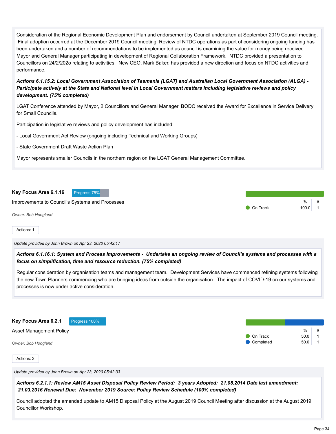Consideration of the Regional Economic Development Plan and endorsement by Council undertaken at September 2019 Council meeting. Final adoption occurred at the December 2019 Council meeting. Review of NTDC operations as part of considering ongoing funding has been undertaken and a number of recommendations to be implemented as council is examining the value for money being received. Mayor and General Manager participating in development of Regional Collaboration Framework. NTDC provided a presentation to Councillors on 24/2/202o relating to activities. New CEO, Mark Baker, has provided a new direction and focus on NTDC activities and performance.

*Actions 6.1.15.2: Local Government Association of Tasmania (LGAT) and Australian Local Government Association (ALGA) - Participate actively at the State and National level in Local Government matters including legislative reviews and policy development. (75% completed)*

LGAT Conference attended by Mayor, 2 Councillors and General Manager, BODC received the Award for Excellence in Service Delivery for Small Councils.

Participation in legislative reviews and policy development has included:

- Local Government Act Review (ongoing including Technical and Working Groups)
- State Government Draft Waste Action Plan

Mayor represents smaller Councils in the northern region on the LGAT General Management Committee.



Actions: 1

*Update provided by John Brown on Apr 23, 2020 05:42:17*

*Actions 6.1.16.1: System and Process Improvements - Undertake an ongoing review of Council's systems and processes with a focus on simplification, time and resource reduction. (75% completed)*

Regular consideration by organisation teams and management team. Development Services have commenced refining systems following the new Town Planners commencing who are bringing ideas from outside the organisation. The impact of COVID-19 on our systems and processes is now under active consideration.

**Key Focus Area 6.2.1** Progress 100%

Asset Management Policy

*Owner: Bob Hoogland*

Actions: 2

*Update provided by John Brown on Apr 23, 2020 05:42:33*

*Actions 6.2.1.1: Review AM15 Asset Disposal Policy Review Period: 3 years Adopted: 21.08.2014 Date last amendment: 21.03.2016 Renewal Due: November 2019 Source: Policy Review Schedule (100% completed)*

Council adopted the amended update to AM15 Disposal Policy at the August 2019 Council Meeting after discussion at the August 2019 Councillor Workshop.

 $\frac{0}{6}$  #

 $\bullet$  On Track 50.0 | 1 Completed 50.0 1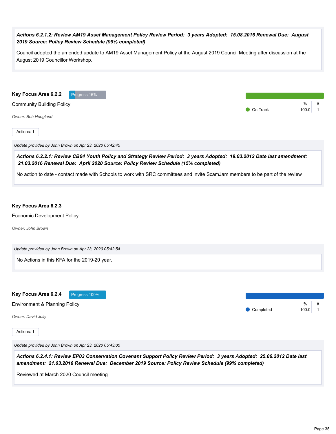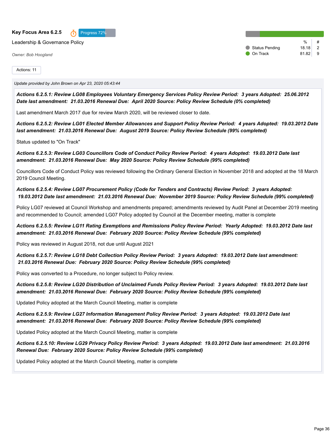#### **Key Focus Area 6.2.5** Progress 72%



Leadership & Governance Policy

*Owner: Bob Hoogland*

 $\frac{0}{0}$ Status Pending 18.18 2 **On Track** 81.82 9

Actions: 11

#### *Update provided by John Brown on Apr 23, 2020 05:43:44*

*Actions 6.2.5.1: Review LG08 Employees Voluntary Emergency Services Policy Review Period: 3 years Adopted: 25.06.2012 Date last amendment: 21.03.2016 Renewal Due: April 2020 Source: Policy Review Schedule (0% completed)*

Last amendment March 2017 due for review March 2020, will be reviewed closer to date.

*Actions 6.2.5.2: Review LG01 Elected Member Allowances and Support Policy Review Period: 4 years Adopted: 19.03.2012 Date last amendment: 21.03.2016 Renewal Due: August 2019 Source: Policy Review Schedule (99% completed)*

Status updated to "On Track"

*Actions 6.2.5.3: Review LG03 Councillors Code of Conduct Policy Review Period: 4 years Adopted: 19.03.2012 Date last amendment: 21.03.2016 Renewal Due: May 2020 Source: Policy Review Schedule (99% completed)*

Councillors Code of Conduct Policy was reviewed following the Ordinary General Election in November 2018 and adopted at the 18 March 2019 Council Meeting.

*Actions 6.2.5.4: Review LG07 Procurement Policy (Code for Tenders and Contracts) Review Period: 3 years Adopted: 19.03.2012 Date last amendment: 21.03.2016 Renewal Due: November 2019 Source: Policy Review Schedule (99% completed)*

Policy LG07 reviewed at Council Workshop and amendments prepared; amendments reviewed by Audit Panel at December 2019 meeting and recommended to Council; amended LG07 Policy adopted by Council at the December meeting, matter is complete

*Actions 6.2.5.5: Review LG11 Rating Exemptions and Remissions Policy Review Period: Yearly Adopted: 19.03.2012 Date last amendment: 21.03.2016 Renewal Due: February 2020 Source: Policy Review Schedule (99% completed)*

Policy was reviewed in August 2018, not due until August 2021

*Actions 6.2.5.7: Review LG18 Debt Collection Policy Review Period: 3 years Adopted: 19.03.2012 Date last amendment: 21.03.2016 Renewal Due: February 2020 Source: Policy Review Schedule (99% completed)*

Policy was converted to a Procedure, no longer subject to Policy review.

*Actions 6.2.5.8: Review LG20 Distribution of Unclaimed Funds Policy Review Period: 3 years Adopted: 19.03.2012 Date last amendment: 21.03.2016 Renewal Due: February 2020 Source: Policy Review Schedule (99% completed)*

Updated Policy adopted at the March Council Meeting, matter is complete

*Actions 6.2.5.9: Review LG27 Information Management Policy Review Period: 3 years Adopted: 19.03.2012 Date last amendment: 21.03.2016 Renewal Due: February 2020 Source: Policy Review Schedule (99% completed)*

Updated Policy adopted at the March Council Meeting, matter is complete

*Actions 6.2.5.10: Review LG29 Privacy Policy Review Period: 3 years Adopted: 19.03.2012 Date last amendment: 21.03.2016 Renewal Due: February 2020 Source: Policy Review Schedule (99% completed)*

Updated Policy adopted at the March Council Meeting, matter is complete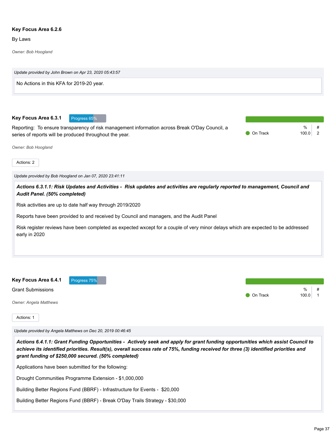#### **Key Focus Area 6.2.6**

By Laws

*Owner: Bob Hoogland*



Drought Communities Programme Extension - \$1,000,000

Building Better Regions Fund (BBRF) - Infrastructure for Events - \$20,000

Building Better Regions Fund (BBRF) - Break O'Day Trails Strategy - \$30,000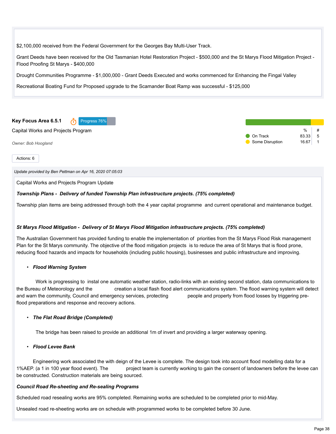\$2,100,000 received from the Federal Government for the Georges Bay Multi-User Track.

Grant Deeds have been received for the Old Tasmanian Hotel Restoration Project - \$500,000 and the St Marys Flood Mitigation Project - Flood Proofing St Marys - \$400,000

Drought Communities Programme - \$1,000,000 - Grant Deeds Executed and works commenced for Enhancing the Fingal Valley

Recreational Boating Fund for Proposed upgrade to the Scamander Boat Ramp was successful - \$125,000



Actions: 6

*Update provided by Ben Pettman on Apr 16, 2020 07:05:03*

Capital Works and Projects Program Update

#### *Township Plans - Delivery of funded Township Plan infrastructure projects. (75% completed)*

Township plan items are being addressed through both the 4 year capital programme and current operational and maintenance budget.

#### *St Marys Flood Mitigation - Delivery of St Marys Flood Mitigation infrastructure projects. (75% completed)*

The Australian Government has provided funding to enable the implementation of priorities from the St Marys Flood Risk management Plan for the St Marys community. The objective of the flood mitigation projects is to reduce the area of St Marys that is flood prone, reducing flood hazards and impacts for households (including public housing), businesses and public infrastructure and improving.

#### • *Flood Warning System*

Work is progressing to instal one automatic weather station, radio-links with an existing second station, data communications to the Bureau of Meteorology and the creation a local flash flood alert communications system. The flood warning system will detect and warn the community, Council and emergency services, protecting people and property from flood losses by triggering preflood preparations and response and recovery actions.

#### • *The Flat Road Bridge (Completed)*

The bridge has been raised to provide an additional 1m of invert and providing a larger waterway opening.

#### • *Flood Levee Bank*

Engineering work associated the with deign of the Levee is complete. The design took into account flood modelling data for a 1%AEP. (a 1 in 100 year flood event). The project team is currently working to gain the consent of landowners before the levee can be constructed. Construction materials are being sourced.

#### *Council Road Re-sheeting and Re-sealing Programs*

Scheduled road resealing works are 95% completed. Remaining works are scheduled to be completed prior to mid-May.

Unsealed road re-sheeting works are on schedule with programmed works to be completed before 30 June.